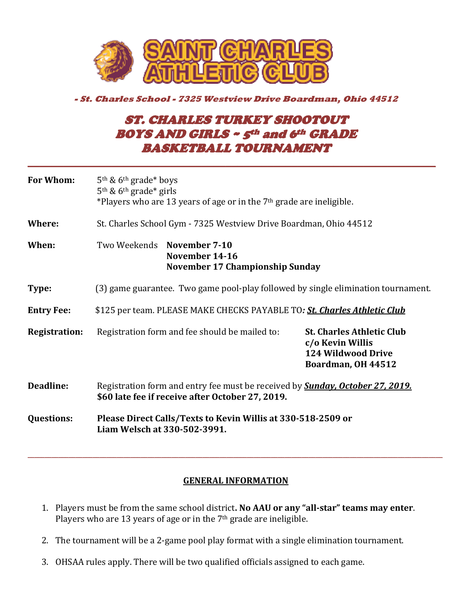

## **- St. Charles School - 7325 Westview Drive Boardman, Ohio 44512**

## ST. CHARLES TURKEY SHOOTOUT BOYS AND GIRLS ~ 5th and 6th GRADE BASKETBALL TOURNAMENT

**\_\_\_\_\_\_\_\_\_\_\_\_\_\_\_\_\_\_\_\_\_\_\_\_\_\_\_\_\_\_\_\_\_\_\_\_\_\_\_\_\_\_\_\_\_\_\_\_\_\_\_\_\_\_\_\_\_\_\_\_\_\_\_\_\_\_\_\_** 

| <b>For Whom:</b>     | 5 <sup>th</sup> & 6 <sup>th</sup> grade* boys<br>$5th$ & 6 <sup>th</sup> grade* girls<br>*Players who are 13 years of age or in the $7th$ grade are ineligible. |                                                                                                         |
|----------------------|-----------------------------------------------------------------------------------------------------------------------------------------------------------------|---------------------------------------------------------------------------------------------------------|
| Where:               | St. Charles School Gym - 7325 Westview Drive Boardman, Ohio 44512                                                                                               |                                                                                                         |
| When:                | Two Weekends November 7-10<br>November 14-16<br><b>November 17 Championship Sunday</b>                                                                          |                                                                                                         |
| Type:                | (3) game guarantee. Two game pool-play followed by single elimination tournament.                                                                               |                                                                                                         |
| <b>Entry Fee:</b>    | \$125 per team. PLEASE MAKE CHECKS PAYABLE TO: St. Charles Athletic Club                                                                                        |                                                                                                         |
| <b>Registration:</b> | Registration form and fee should be mailed to:                                                                                                                  | <b>St. Charles Athletic Club</b><br>c/o Kevin Willis<br><b>124 Wildwood Drive</b><br>Boardman, OH 44512 |
| Deadline:            | Registration form and entry fee must be received by <b>Sunday, October 27, 2019.</b><br>\$60 late fee if receive after October 27, 2019.                        |                                                                                                         |
| <b>Questions:</b>    | Please Direct Calls/Texts to Kevin Willis at 330-518-2509 or<br>Liam Welsch at 330-502-3991.                                                                    |                                                                                                         |

## **GENERAL INFORMATION**

\_\_\_\_\_\_\_\_\_\_\_\_\_\_\_\_\_\_\_\_\_\_\_\_\_\_\_\_\_\_\_\_\_\_\_\_\_\_\_\_\_\_\_\_\_\_\_\_\_\_\_\_\_\_\_\_\_\_\_\_\_\_\_\_\_\_\_\_\_\_\_\_\_\_\_\_\_\_\_\_\_\_\_\_\_\_\_\_\_\_\_\_\_\_\_\_\_\_\_\_\_\_\_\_\_\_\_\_\_\_\_\_\_\_\_\_\_\_\_\_\_

- 1. Players must be from the same school district**. No AAU or any "all‐star" teams may enter**. Players who are 13 years of age or in the 7th grade are ineligible.
- 2. The tournament will be a 2-game pool play format with a single elimination tournament.
- 3. OHSAA rules apply. There will be two qualified officials assigned to each game.